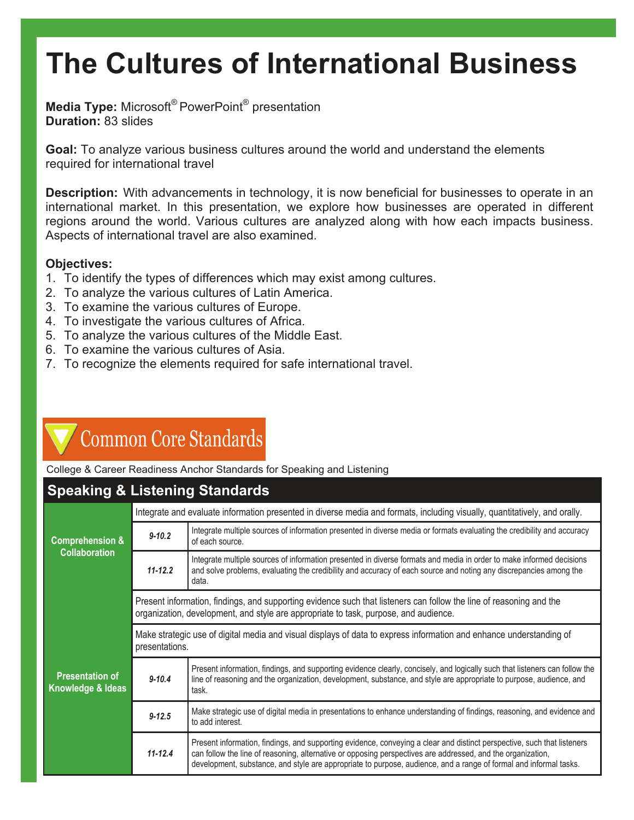# **The Cultures of International Business**

**Media Type:** Microsoft® PowerPoint® presentation **Duration:** 83 slides

**Goal:** To analyze various business cultures around the world and understand the elements required for international travel

**Description:** With advancements in technology, it is now beneficial for businesses to operate in an international market. In this presentation, we explore how businesses are operated in different regions around the world. Various cultures are analyzed along with how each impacts business. Aspects of international travel are also examined.

### **Objectives:**

- 1. To identify the types of differences which may exist among cultures.
- 2. To analyze the various cultures of Latin America.
- 3. To examine the various cultures of Europe.
- 4. To investigate the various cultures of Africa.
- 5. To analyze the various cultures of the Middle East.
- 6. To examine the various cultures of Asia.
- 7. To recognize the elements required for safe international travel.

### **Common Core Standards**

College & Career Readiness Anchor Standards for Speaking and Listening

### **Speaking & Listening Standards**

| <b>Comprehension &amp;</b><br><b>Collaboration</b>     | Integrate and evaluate information presented in diverse media and formats, including visually, quantitatively, and orally.                                                                                  |                                                                                                                                                                                                                                                                                                                                                             |  |
|--------------------------------------------------------|-------------------------------------------------------------------------------------------------------------------------------------------------------------------------------------------------------------|-------------------------------------------------------------------------------------------------------------------------------------------------------------------------------------------------------------------------------------------------------------------------------------------------------------------------------------------------------------|--|
|                                                        | $9 - 10.2$                                                                                                                                                                                                  | Integrate multiple sources of information presented in diverse media or formats evaluating the credibility and accuracy<br>of each source.                                                                                                                                                                                                                  |  |
|                                                        | $11 - 12.2$                                                                                                                                                                                                 | Integrate multiple sources of information presented in diverse formats and media in order to make informed decisions<br>and solve problems, evaluating the credibility and accuracy of each source and noting any discrepancies among the<br>data.                                                                                                          |  |
| <b>Presentation of</b><br><b>Knowledge &amp; Ideas</b> | Present information, findings, and supporting evidence such that listeners can follow the line of reasoning and the<br>organization, development, and style are appropriate to task, purpose, and audience. |                                                                                                                                                                                                                                                                                                                                                             |  |
|                                                        | Make strategic use of digital media and visual displays of data to express information and enhance understanding of<br>presentations.                                                                       |                                                                                                                                                                                                                                                                                                                                                             |  |
|                                                        | $9 - 10.4$                                                                                                                                                                                                  | Present information, findings, and supporting evidence clearly, concisely, and logically such that listeners can follow the<br>line of reasoning and the organization, development, substance, and style are appropriate to purpose, audience, and<br>task.                                                                                                 |  |
|                                                        | $9 - 12.5$                                                                                                                                                                                                  | Make strategic use of digital media in presentations to enhance understanding of findings, reasoning, and evidence and<br>to add interest.                                                                                                                                                                                                                  |  |
|                                                        | $11 - 12.4$                                                                                                                                                                                                 | Present information, findings, and supporting evidence, conveying a clear and distinct perspective, such that listeners<br>can follow the line of reasoning, alternative or opposing perspectives are addressed, and the organization,<br>development, substance, and style are appropriate to purpose, audience, and a range of formal and informal tasks. |  |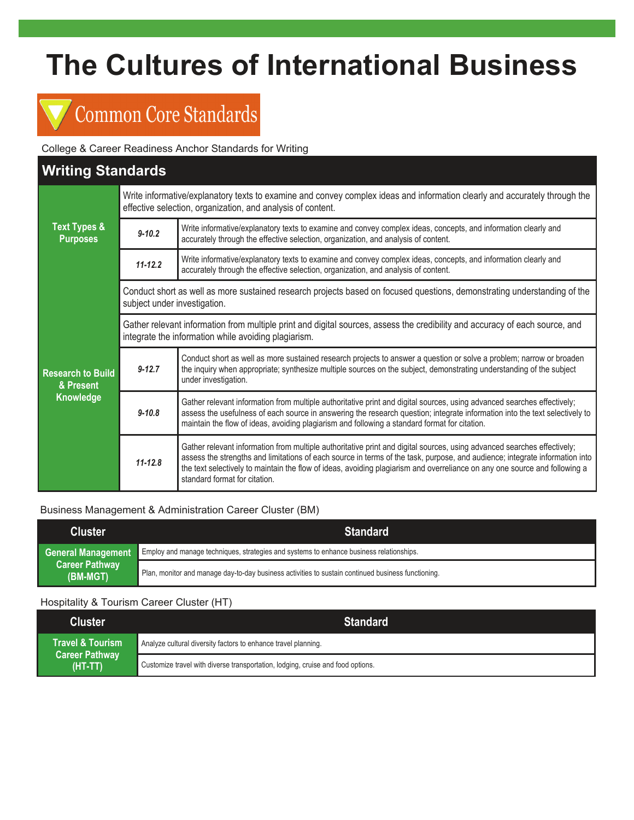# **The Cultures of International Business**

### **Common Core Standards**

College & Career Readiness Anchor Standards for Writing

### **Writing Standards**

|                                                    | Write informative/explanatory texts to examine and convey complex ideas and information clearly and accurately through the<br>effective selection, organization, and analysis of content. |                                                                                                                                                                                                                                                                                                                                                                                                                       |  |
|----------------------------------------------------|-------------------------------------------------------------------------------------------------------------------------------------------------------------------------------------------|-----------------------------------------------------------------------------------------------------------------------------------------------------------------------------------------------------------------------------------------------------------------------------------------------------------------------------------------------------------------------------------------------------------------------|--|
| <b>Text Types &amp;</b><br><b>Purposes</b>         | $9 - 10.2$                                                                                                                                                                                | Write informative/explanatory texts to examine and convey complex ideas, concepts, and information clearly and<br>accurately through the effective selection, organization, and analysis of content.                                                                                                                                                                                                                  |  |
|                                                    | $11 - 12.2$                                                                                                                                                                               | Write informative/explanatory texts to examine and convey complex ideas, concepts, and information clearly and<br>accurately through the effective selection, organization, and analysis of content.                                                                                                                                                                                                                  |  |
| <b>Research to Build</b><br>& Present<br>Knowledge | Conduct short as well as more sustained research projects based on focused questions, demonstrating understanding of the<br>subject under investigation.                                  |                                                                                                                                                                                                                                                                                                                                                                                                                       |  |
|                                                    | Gather relevant information from multiple print and digital sources, assess the credibility and accuracy of each source, and<br>integrate the information while avoiding plagiarism.      |                                                                                                                                                                                                                                                                                                                                                                                                                       |  |
|                                                    | $9 - 12.7$                                                                                                                                                                                | Conduct short as well as more sustained research projects to answer a question or solve a problem; narrow or broaden<br>the inquiry when appropriate; synthesize multiple sources on the subject, demonstrating understanding of the subject<br>under investigation.                                                                                                                                                  |  |
|                                                    | $9 - 10.8$                                                                                                                                                                                | Gather relevant information from multiple authoritative print and digital sources, using advanced searches effectively;<br>assess the usefulness of each source in answering the research question; integrate information into the text selectively to<br>maintain the flow of ideas, avoiding plagiarism and following a standard format for citation.                                                               |  |
|                                                    | $11 - 12.8$                                                                                                                                                                               | Gather relevant information from multiple authoritative print and digital sources, using advanced searches effectively;<br>assess the strengths and limitations of each source in terms of the task, purpose, and audience; integrate information into<br>the text selectively to maintain the flow of ideas, avoiding plagiarism and overreliance on any one source and following a<br>standard format for citation. |  |

### Business Management & Administration Career Cluster (BM)

| <b>Cluster</b>                                          | <b>Standard</b>                                                                                    |
|---------------------------------------------------------|----------------------------------------------------------------------------------------------------|
| General Management<br><b>Career Pathway</b><br>(BM-MGT) | Employ and manage techniques, strategies and systems to enhance business relationships.            |
|                                                         | Plan, monitor and manage day-to-day business activities to sustain continued business functioning. |

### Hospitality & Tourism Career Cluster (HT)

| <b>Cluster</b>                                         | <b>Standard</b>                                                                 |
|--------------------------------------------------------|---------------------------------------------------------------------------------|
| Travel & Tourism<br><b>Career Pathway</b><br>$(HT-TT)$ | Analyze cultural diversity factors to enhance travel planning.                  |
|                                                        | Customize travel with diverse transportation, lodging, cruise and food options. |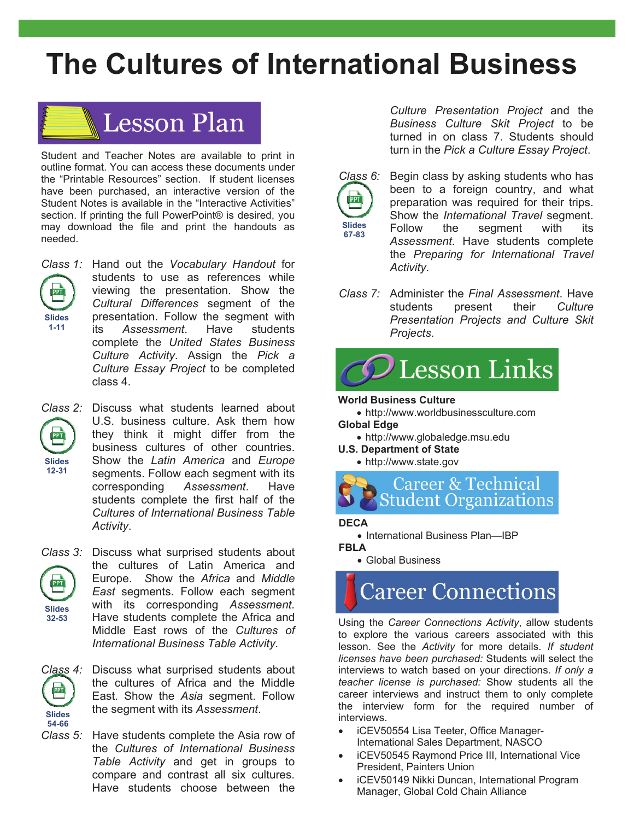## **The Cultures of International Business**



Student and Teacher Notes are available to print in outline format. You can access these documents under the "Printable Resources" section. If student licenses have been purchased, an interactive version of the Student Notes is available in the "Interactive Activities" section. If printing the full PowerPoint® is desired, you may download the file and print the handouts as needed.



*Class 1:* Hand out the *Vocabulary Handout* for students to use as references while viewing the presentation. Show the *Cultural Differences* segment of the presentation. Follow the segment with its *Assessment*. Have students complete the *United States Business Culture Activity*. Assign the *Pick a Culture Essay Project* to be completed class 4.



*Class 2:* Discuss what students learned about U.S. business culture. Ask them how they think it might differ from the business cultures of other countries. Show the *Latin America* and *Europe* segments. Follow each segment with its corresponding *Assessment*. Have students complete the first half of the *Cultures of International Business Table Activity*.





*Class 4:* Discuss what surprised students about the cultures of Africa and the Middle East. Show the *Asia* segment. Follow the segment with its *Assessment*.

*Class 5:* Have students complete the Asia row of the *Cultures of International Business Table Activity* and get in groups to compare and contrast all six cultures. Have students choose between the

*Culture Presentation Project* and the *Business Culture Skit Project* to be turned in on class 7. Students should turn in the *Pick a Culture Essay Project*.



*Class 6:* Begin class by asking students who has been to a foreign country, and what preparation was required for their trips. Show the *International Travel* segment. Follow the segment with its *Assessment*. Have students complete the *Preparing for International Travel Activity*.

*Class 7:* Administer the *Final Assessment*. Have students present their *Culture Presentation Projects and Culture Skit Projects*.



### **World Business Culture**

http://www.worldbusinessculture.com **Global Edge** 

- http://www.globaledge.msu.edu
- **U.S. Department of State** 
	- http://www.state.gov

**Career & Technical Student Organizations** 

### **DECA**

• International Business Plan-IBP

### **FBLA**

Global Business

## **Career Connections**

Using the *Career Connections Activity*, allow students to explore the various careers associated with this lesson. See the *Activity* for more details. *If student licenses have been purchased:* Students will select the interviews to watch based on your directions. *If only a teacher license is purchased:* Show students all the career interviews and instruct them to only complete the interview form for the required number of interviews.

- iCEV50554 Lisa Teeter, Office Manager-International Sales Department, NASCO
- iCEV50545 Raymond Price III, International Vice President, Painters Union
- iCEV50149 Nikki Duncan, International Program Manager, Global Cold Chain Alliance